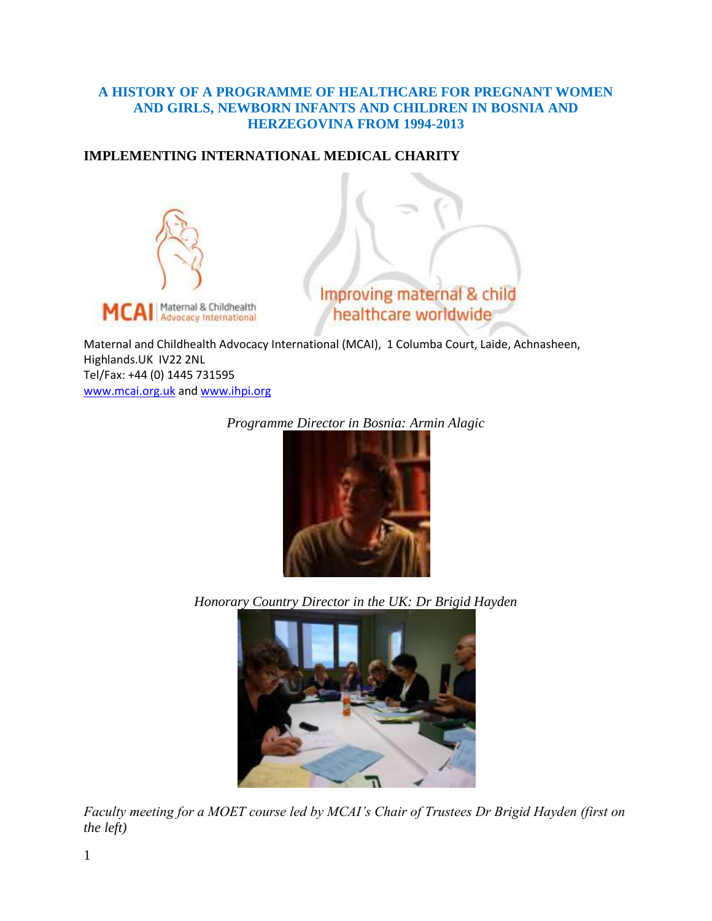#### **A HISTORY OF A PROGRAMME OF HEALTHCARE FOR PREGNANT WOMEN AND GIRLS, NEWBORN INFANTS AND CHILDREN IN BOSNIA AND HERZEGOVINA FROM 1994-2013**

## **IMPLEMENTING INTERNATIONAL MEDICAL CHARITY**



Improving maternal & child healthcare worldwide

Maternal and Childhealth Advocacy International (MCAI), 1 Columba Court, Laide, Achnasheen, Highlands.UK IV22 2NL Tel/Fax: +44 (0) 1445 731595 [www.mcai.org.uk](http://www.mcai.org.uk/) an[d www.ihpi.org](http://www.ihpi.org/)

*Programme Director in Bosnia: Armin Alagic*



*Honorary Country Director in the UK: Dr Brigid Hayden*



*Faculty meeting for a MOET course led by MCAI's Chair of Trustees Dr Brigid Hayden (first on the left)*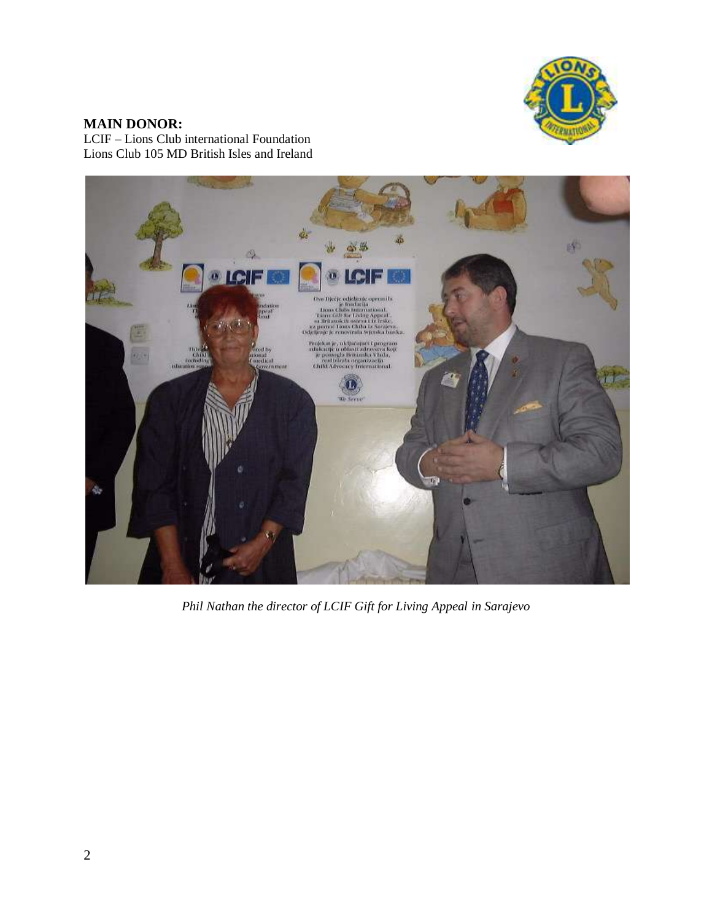

# **MAIN DONOR:**

LCIF – Lions Club international Foundation Lions Club 105 MD British Isles and Ireland



*Phil Nathan the director of LCIF Gift for Living Appeal in Sarajevo*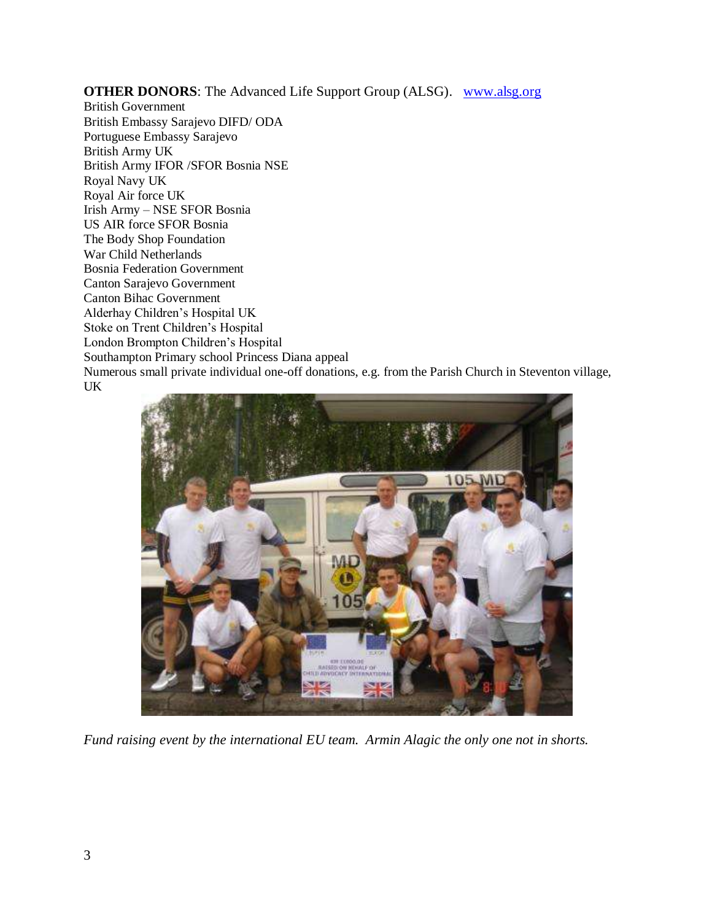**OTHER DONORS**: The Advanced Life Support Group (ALSG). [www.alsg.org](http://www.alsg.org/)

British Government British Embassy Sarajevo DIFD/ ODA Portuguese Embassy Sarajevo British Army UK British Army IFOR /SFOR Bosnia NSE Royal Navy UK Royal Air force UK Irish Army – NSE SFOR Bosnia US AIR force SFOR Bosnia The Body Shop Foundation War Child Netherlands Bosnia Federation Government Canton Sarajevo Government Canton Bihac Government Alderhay Children's Hospital UK Stoke on Trent Children's Hospital London Brompton Children's Hospital Southampton Primary school Princess Diana appeal Numerous small private individual one-off donations, e.g. from the Parish Church in Steventon village, UK



*Fund raising event by the international EU team. Armin Alagic the only one not in shorts.*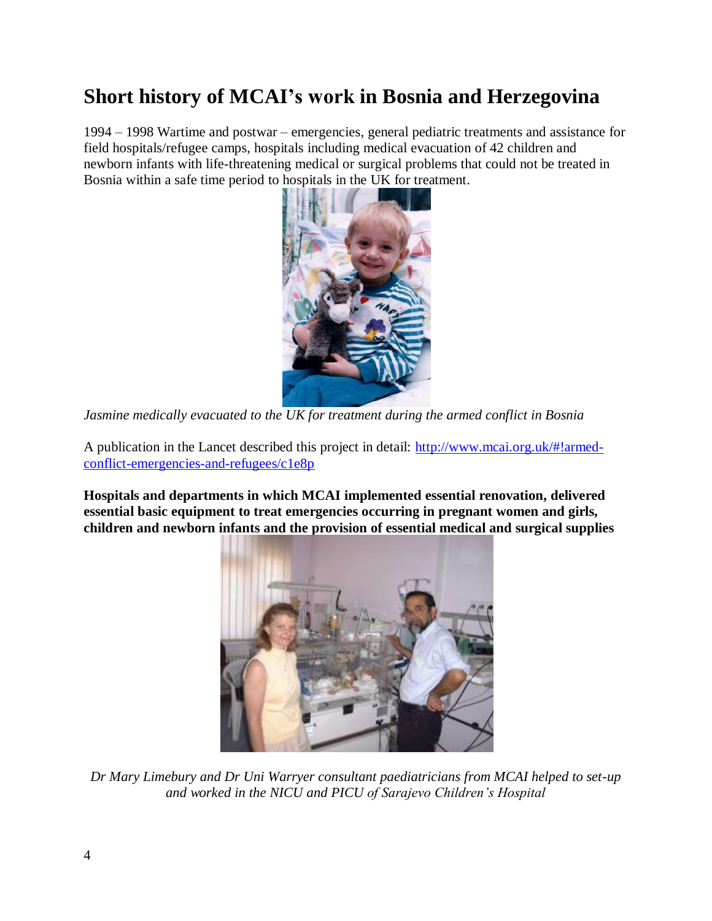# **Short history of MCAI's work in Bosnia and Herzegovina**

1994 – 1998 Wartime and postwar – emergencies, general pediatric treatments and assistance for field hospitals/refugee camps, hospitals including medical evacuation of 42 children and newborn infants with life-threatening medical or surgical problems that could not be treated in Bosnia within a safe time period to hospitals in the UK for treatment.



*Jasmine medically evacuated to the UK for treatment during the armed conflict in Bosnia*

A publication in the Lancet described this project in detail: [http://www.mcai.org.uk/#!armed](http://www.mcai.org.uk/#!armed-conflict-emergencies-and-refugees/c1e8p)[conflict-emergencies-and-refugees/c1e8p](http://www.mcai.org.uk/#!armed-conflict-emergencies-and-refugees/c1e8p)

**Hospitals and departments in which MCAI implemented essential renovation, delivered essential basic equipment to treat emergencies occurring in pregnant women and girls, children and newborn infants and the provision of essential medical and surgical supplies**



*Dr Mary Limebury and Dr Uni Warryer consultant paediatricians from MCAI helped to set-up and worked in the NICU and PICU of Sarajevo Children's Hospital*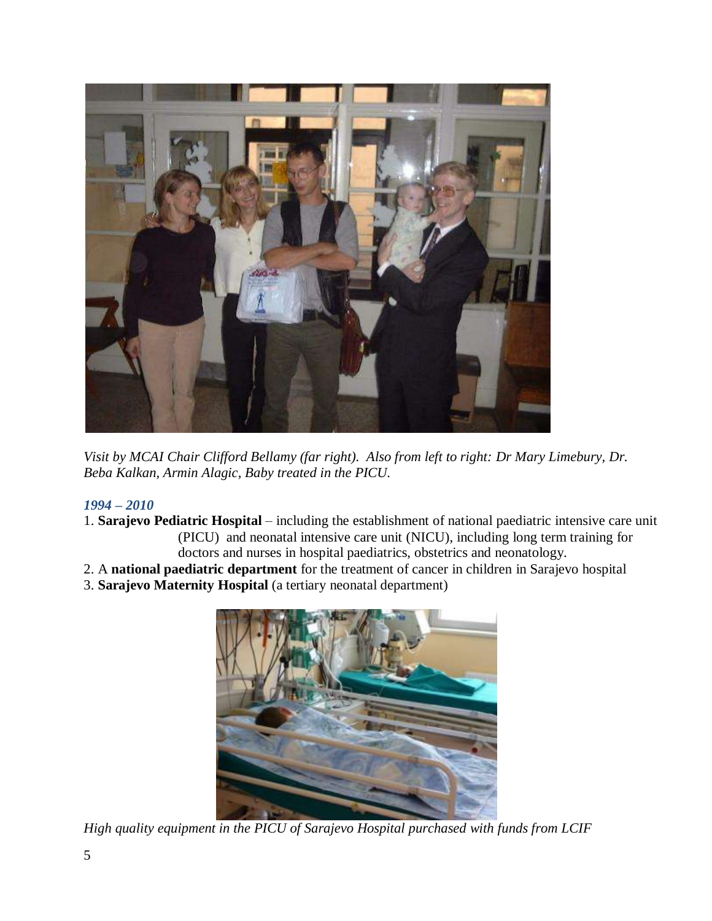

*Visit by MCAI Chair Clifford Bellamy (far right). Also from left to right: Dr Mary Limebury, Dr. Beba Kalkan, Armin Alagic, Baby treated in the PICU.*

## *1994 – 2010*

- 1. **Sarajevo Pediatric Hospital** including the establishment of national paediatric intensive care unit (PICU) and neonatal intensive care unit (NICU), including long term training for doctors and nurses in hospital paediatrics, obstetrics and neonatology.
- 2. A **national paediatric department** for the treatment of cancer in children in Sarajevo hospital
- 3. **Sarajevo Maternity Hospital** (a tertiary neonatal department)



*High quality equipment in the PICU of Sarajevo Hospital purchased with funds from LCIF*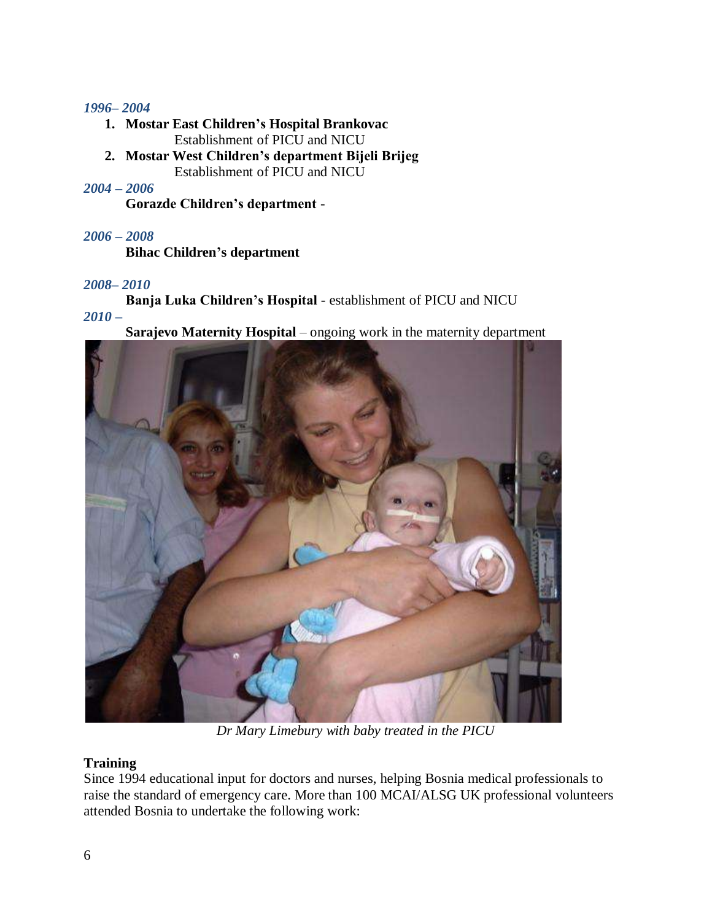#### *1996– 2004*

- **1. Mostar East Children's Hospital Brankovac** Establishment of PICU and NICU
- **2. Mostar West Children's department Bijeli Brijeg** Establishment of PICU and NICU

#### *2004 – 2006*

**Gorazde Children's department** -

## *2006 – 2008*

**Bihac Children's department** 

#### *2008– 2010*

**Banja Luka Children's Hospital** - establishment of PICU and NICU

*2010 –*

**Sarajevo Maternity Hospital** – ongoing work in the maternity department



*Dr Mary Limebury with baby treated in the PICU*

## **Training**

Since 1994 educational input for doctors and nurses, helping Bosnia medical professionals to raise the standard of emergency care. More than 100 MCAI/ALSG UK professional volunteers attended Bosnia to undertake the following work: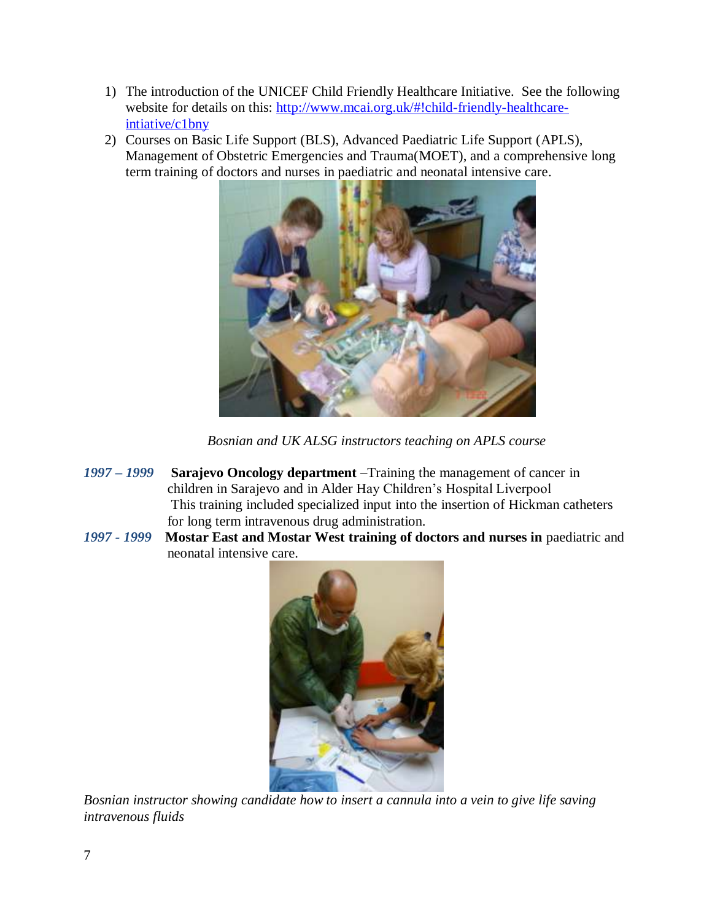- 1) The introduction of the UNICEF Child Friendly Healthcare Initiative. See the following website for details on this: [http://www.mcai.org.uk/#!child-friendly-healthcare](http://www.mcai.org.uk/#!child-friendly-healthcare-intiative/c1bny)[intiative/c1bny](http://www.mcai.org.uk/#!child-friendly-healthcare-intiative/c1bny)
- 2) Courses on Basic Life Support (BLS), Advanced Paediatric Life Support (APLS), Management of Obstetric Emergencies and Trauma(MOET), and a comprehensive long term training of doctors and nurses in paediatric and neonatal intensive care.



*Bosnian and UK ALSG instructors teaching on APLS course*

- *1997 – 1999* **Sarajevo Oncology department** –Training the management of cancer in children in Sarajevo and in Alder Hay Children's Hospital Liverpool This training included specialized input into the insertion of Hickman catheters for long term intravenous drug administration.
- *1997 - 1999* **Mostar East and Mostar West training of doctors and nurses in** paediatric and neonatal intensive care.



*Bosnian instructor showing candidate how to insert a cannula into a vein to give life saving intravenous fluids*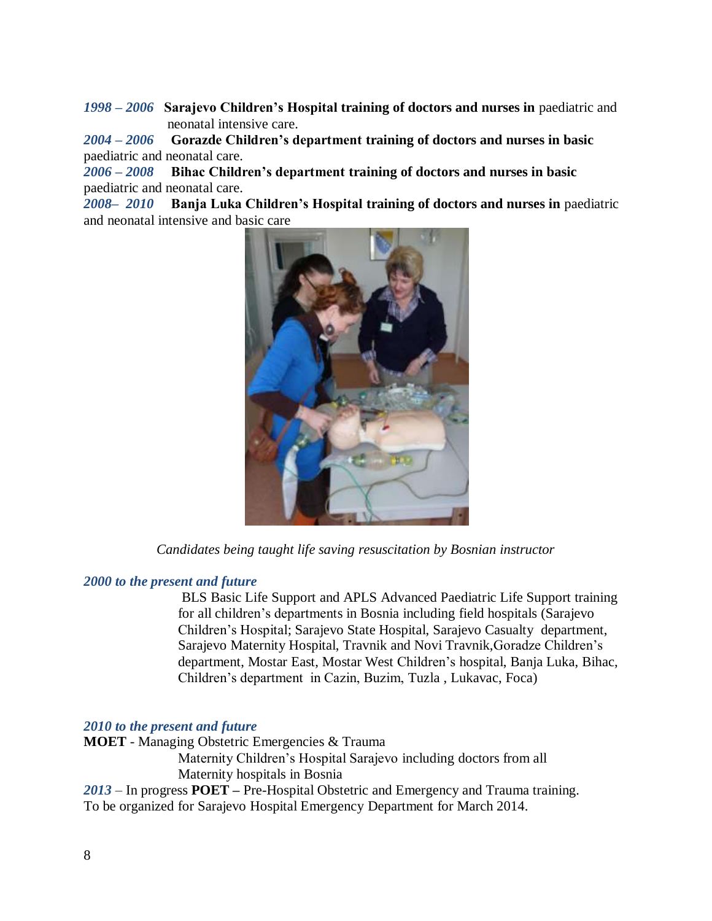*1998 – 2006* **Sarajevo Children's Hospital training of doctors and nurses in** paediatric and neonatal intensive care.

*2004 – 2006* **Gorazde Children's department training of doctors and nurses in basic**  paediatric and neonatal care.

*2006 – 2008* **Bihac Children's department training of doctors and nurses in basic**  paediatric and neonatal care.

*2008– 2010* **Banja Luka Children's Hospital training of doctors and nurses in** paediatric and neonatal intensive and basic care



*Candidates being taught life saving resuscitation by Bosnian instructor*

#### *2000 to the present and future*

 BLS Basic Life Support and APLS Advanced Paediatric Life Support training for all children's departments in Bosnia including field hospitals (Sarajevo Children's Hospital; Sarajevo State Hospital, Sarajevo Casualty department, Sarajevo Maternity Hospital, Travnik and Novi Travnik,Goradze Children's department, Mostar East, Mostar West Children's hospital, Banja Luka, Bihac, Children's department in Cazin, Buzim, Tuzla , Lukavac, Foca)

#### *2010 to the present and future*

**MOET** - Managing Obstetric Emergencies & Trauma

Maternity Children's Hospital Sarajevo including doctors from all Maternity hospitals in Bosnia

*2013* – In progress **POET –** Pre-Hospital Obstetric and Emergency and Trauma training. To be organized for Sarajevo Hospital Emergency Department for March 2014.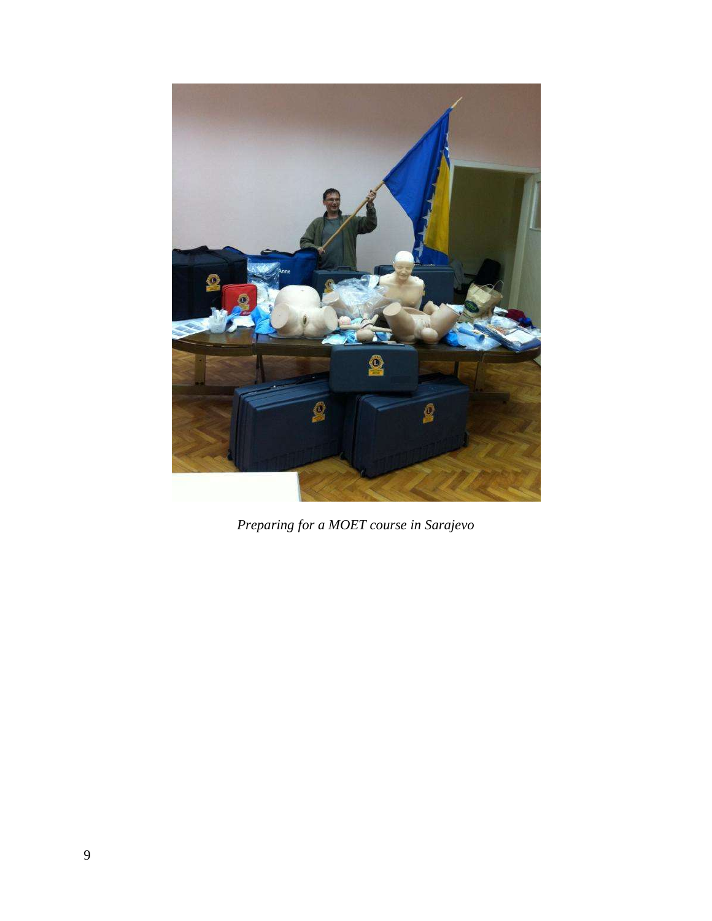

*Preparing for a MOET course in Sarajevo*